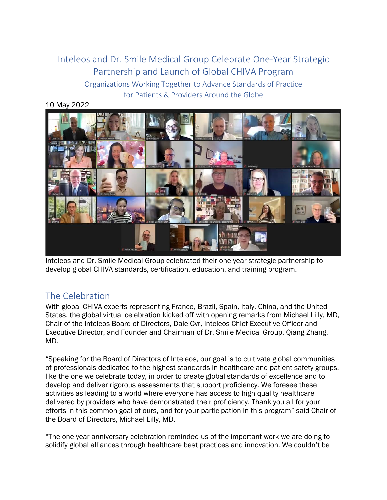## Inteleos and Dr. Smile Medical Group Celebrate One-Year Strategic Partnership and Launch of Global CHIVA Program Organizations Working Together to Advance Standards of Practice for Patients & Providers Around the Globe

10 May 2022



Inteleos and Dr. Smile Medical Group celebrated their one-year strategic partnership to develop global CHIVA standards, certification, education, and training program.

## The Celebration

With global CHIVA experts representing France, Brazil, Spain, Italy, China, and the United States, the global virtual celebration kicked off with opening remarks from Michael Lilly, MD, Chair of the Inteleos Board of Directors, Dale Cyr, Inteleos Chief Executive Officer and Executive Director, and Founder and Chairman of Dr. Smile Medical Group, Qiang Zhang, MD.

"Speaking for the Board of Directors of Inteleos, our goal is to cultivate global communities of professionals dedicated to the highest standards in healthcare and patient safety groups, like the one we celebrate today, in order to create global standards of excellence and to develop and deliver rigorous assessments that support proficiency. We foresee these activities as leading to a world where everyone has access to high quality healthcare delivered by providers who have demonstrated their proficiency. Thank you all for your efforts in this common goal of ours, and for your participation in this program" said Chair of the Board of Directors, Michael Lilly, MD.

"The one-year anniversary celebration reminded us of the important work we are doing to solidify global alliances through healthcare best practices and innovation. We couldn't be